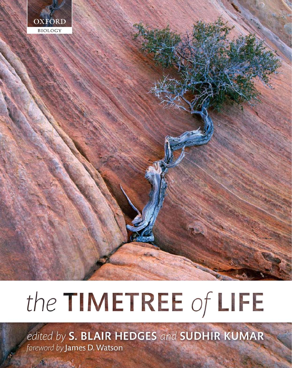

## the TIMETREE of LIFE

edited by S. BLAIR HEDGES and SUDHIR KUMAR foreword by James D. Watson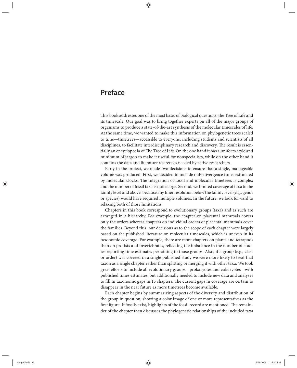## Preface

This book addresses one of the most basic of biological questions: the Tree of Life and its timescale. Our goal was to bring together experts on all of the major groups of organisms to produce a state-of-the-art synthesis of the molecular timescales of life. At the same time, we wanted to make this information on phylogenetic trees scaled to time—timetrees—accessible to everyone, including students and scientists of all disciplines, to facilitate interdisciplinary research and discovery. The result is essentially an encyclopedia of The Tree of Life. On the one hand it has a uniform style and minimum of jargon to make it useful for nonspecialists, while on the other hand it contains the data and literature references needed by active researchers.

Early in the project, we made two decisions to ensure that a single, manageable volume was produced. First, we decided to include only divergence times estimated by molecular clocks. The integration of fossil and molecular timetrees is complex and the number of fossil taxa is quite large. Second, we limited coverage of taxa to the family level and above, because any finer resolution below the family level (e.g., genus or species) would have required multiple volumes. In the future, we look forward to relaxing both of those limitations.

Chapters in this book correspond to evolutionary groups (taxa) and as such are arranged in a hierarchy. For example, the chapter on placental mammals covers only the orders whereas chapters on individual orders of placental mammals cover the families. Beyond this, our decisions as to the scope of each chapter were largely based on the published literature on molecular timescales, which is uneven in its taxonomic coverage. For example, there are more chapters on plants and tetrapods than on protists and invertebrates, reflecting the imbalance in the number of studies reporting time estimates pertaining to those groups. Also, if a group (e.g., class or order) was covered in a single published study we were more likely to treat that taxon as a single chapter rather than splitting or merging it with other taxa. We took great efforts to include all evolutionary groups—prokaryotes and eukaryotes—with published times estimates, but additionally needed to include new data and analyses to fill in taxonomic gaps in 13 chapters. The current gaps in coverage are certain to disappear in the near future as more timetrees become available.

Each chapter begins by summarizing aspects of the diversity and distribution of the group in question, showing a color image of one or more representatives as the first figure. If fossils exist, highlights of the fossil record are mentioned. The remainder of the chapter then discusses the phylogenetic relationships of the included taxa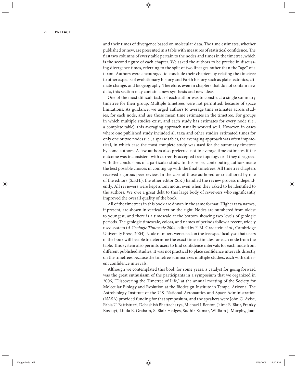and their times of divergence based on molecular data. The time estimates, whether published or new, are presented in a table with measures of statistical confidence. The first two columns of every table pertain to the nodes and times in the timetree, which is the second figure of each chapter. We asked the authors to be precise in discussing divergence times, referring to the split of two lineages rather than the "age" of a taxon. Authors were encouraged to conclude their chapters by relating the timetree to other aspects of evolutionary history and Earth history such as plate tectonics, climate change, and biogeography. Therefore, even in chapters that do not contain new data, this section may contain a new synthesis and new ideas.

One of the most difficult tasks of each author was to construct a single summary timetree for their group. Multiple timetrees were not permitted, because of space limitations. As guidance, we urged authors to average time estimates across studies, for each node, and use those mean time estimates in the timetree. For groups in which multiple studies exist, and each study has estimates for every node (i.e., a complete table), this averaging approach usually worked well. However, in cases where one published study included all taxa and other studies estimated times for only one or two nodes (i.e., a sparse table), the averaging approach was often impractical, in which case the most complete study was used for the summary timetree by some authors. A few authors also preferred not to average time estimates if the outcome was inconsistent with currently accepted tree topology or if they disagreed with the conclusions of a particular study. In this sense, contributing authors made the best possible choices in coming up with the final timetrees. All timetree chapters received rigorous peer review. In the case of those authored or coauthored by one of the editors (S.B.H.), the other editor (S.K.) handled the review process independently. All reviewers were kept anonymous, even when they asked to be identified to the authors. We owe a great debt to this large body of reviewers who significantly improved the overall quality of the book.

All of the timetrees in this book are drawn in the same format. Higher taxa names, if present, are shown in vertical text on the right. Nodes are numbered from oldest to youngest, and there is a timescale at the bottom showing two levels of geologic periods. The geologic timescale, colors, and names of periods follow a recent, widely used system (*A Geologic Timescale 2004*, edited by F. M. Gradstein *et al*., Cambridge University Press, 2004). Node numbers were used on the tree specifically so that users of the book will be able to determine the exact time estimates for each node from the table. This system also permits users to find confidence intervals for each node from different published studies. It was not practical to place confidence intervals directly on the timetrees because the timetree summarizes multiple studies, each with different confidence intervals.

Although we contemplated this book for some years, a catalyst for going forward was the great enthusiasm of the participants in a symposium that we organized in 2006, "Discovering the Timetree of Life," at the annual meeting of the Society for Molecular Biology and Evolution at the Biodesign Institute in Tempe, Arizona. The Astrobiology Institute of the U.S. National Aeronautics and Space Administration (NASA) provided funding for that symposium, and the speakers were John C. Avise, Fabia U. Battistuzzi, Debashish Bhattacharya, Michael J. Benton, Jaime E. Blair, Franky Bossuyt, Linda E. Graham, S. Blair Hedges, Sudhir Kumar, William J. Murphy, Juan